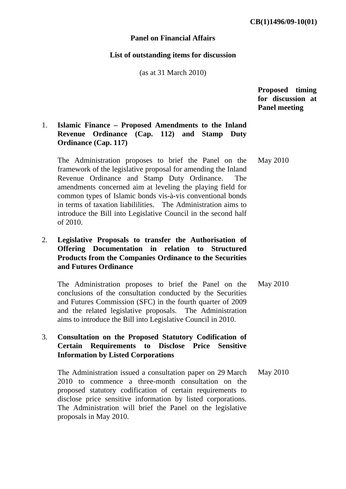#### **Panel on Financial Affairs**

#### **List of outstanding items for discussion**

(as at 31 March 2010)

 **Proposed timing for discussion at Panel meeting** 

# 1. **Islamic Finance – Proposed Amendments to the Inland Revenue Ordinance (Cap. 112) and Stamp Duty Ordinance (Cap. 117)**

The Administration proposes to brief the Panel on the framework of the legislative proposal for amending the Inland Revenue Ordinance and Stamp Duty Ordinance. The amendments concerned aim at leveling the playing field for common types of Islamic bonds vis-à-vis conventional bonds in terms of taxation liabililities. The Administration aims to introduce the Bill into Legislative Council in the second half of 2010.

# 2. **Legislative Proposals to transfer the Authorisation of Offering Documentation in relation to Structured Products from the Companies Ordinance to the Securities and Futures Ordinance**

The Administration proposes to brief the Panel on the conclusions of the consultation conducted by the Securities and Futures Commission (SFC) in the fourth quarter of 2009 and the related legislative proposals. The Administration aims to introduce the Bill into Legislative Council in 2010. May 2010

## 3. **Consultation on the Proposed Statutory Codification of Certain Requirements to Disclose Price Sensitive Information by Listed Corporations**

The Administration issued a consultation paper on 29 March 2010 to commence a three-month consultation on the proposed statutory codification of certain requirements to disclose price sensitive information by listed corporations. The Administration will brief the Panel on the legislative proposals in May 2010. May 2010

May 2010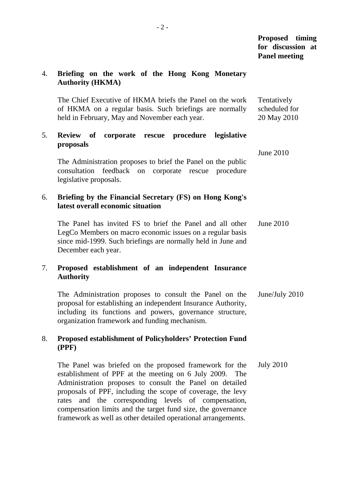# **Proposed timing for discussion at Panel meeting**

June 2010

## 4. **Briefing on the work of the Hong Kong Monetary Authority (HKMA)**

The Chief Executive of HKMA briefs the Panel on the work of HKMA on a regular basis. Such briefings are normally held in February, May and November each year. Tentatively scheduled for 20 May 2010

## 5. **Review of corporate rescue procedure legislative proposals**

The Administration proposes to brief the Panel on the public consultation feedback on corporate rescue procedure legislative proposals.

## 6. **Briefing by the Financial Secretary (FS) on Hong Kong's latest overall economic situation**

The Panel has invited FS to brief the Panel and all other LegCo Members on macro economic issues on a regular basis since mid-1999. Such briefings are normally held in June and December each year. June 2010

## 7. **Proposed establishment of an independent Insurance Authority**

The Administration proposes to consult the Panel on the proposal for establishing an independent Insurance Authority, including its functions and powers, governance structure, organization framework and funding mechanism. June/July 2010

## 8. **Proposed establishment of Policyholders' Protection Fund (PPF)**

The Panel was briefed on the proposed framework for the establishment of PPF at the meeting on 6 July 2009. The Administration proposes to consult the Panel on detailed proposals of PPF, including the scope of coverage, the levy rates and the corresponding levels of compensation, compensation limits and the target fund size, the governance framework as well as other detailed operational arrangements. July 2010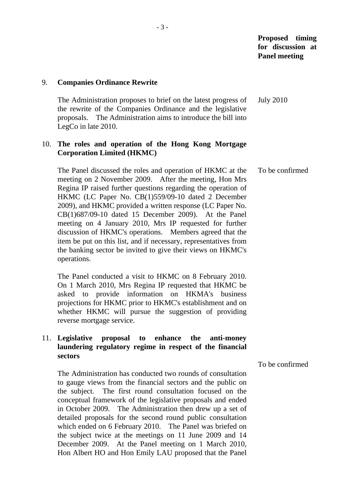**Proposed timing for discussion at Panel meeting** 

#### 9. **Companies Ordinance Rewrite**

The Administration proposes to brief on the latest progress of the rewrite of the Companies Ordinance and the legislative proposals. The Administration aims to introduce the bill into LegCo in late 2010. July 2010

#### 10. **The roles and operation of the Hong Kong Mortgage Corporation Limited (HKMC)**

The Panel discussed the roles and operation of HKMC at the meeting on 2 November 2009. After the meeting, Hon Mrs Regina IP raised further questions regarding the operation of HKMC (LC Paper No. CB(1)559/09-10 dated 2 December 2009), and HKMC provided a written response (LC Paper No. CB(1)687/09-10 dated 15 December 2009). At the Panel meeting on 4 January 2010, Mrs IP requested for further discussion of HKMC's operations. Members agreed that the item be put on this list, and if necessary, representatives from the banking sector be invited to give their views on HKMC's operations. To be confirmed

The Panel conducted a visit to HKMC on 8 February 2010. On 1 March 2010, Mrs Regina IP requested that HKMC be asked to provide information on HKMA's business projections for HKMC prior to HKMC's establishment and on whether HKMC will pursue the suggestion of providing reverse mortgage service.

## 11. **Legislative proposal to enhance the anti-money laundering regulatory regime in respect of the financial sectors**

To be confirmed

The Administration has conducted two rounds of consultation to gauge views from the financial sectors and the public on the subject. The first round consultation focused on the conceptual framework of the legislative proposals and ended in October 2009. The Administration then drew up a set of detailed proposals for the second round public consultation which ended on 6 February 2010. The Panel was briefed on the subject twice at the meetings on 11 June 2009 and 14 December 2009. At the Panel meeting on 1 March 2010, Hon Albert HO and Hon Emily LAU proposed that the Panel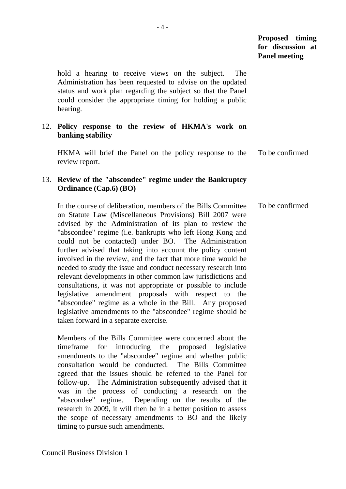# **Proposed timing for discussion at Panel meeting**

hold a hearing to receive views on the subject. The Administration has been requested to advise on the updated status and work plan regarding the subject so that the Panel could consider the appropriate timing for holding a public hearing.

## 12. **Policy response to the review of HKMA's work on banking stability**

HKMA will brief the Panel on the policy response to the review report. To be confirmed

# 13. **Review of the "abscondee" regime under the Bankruptcy Ordinance (Cap.6) (BO)**

In the course of deliberation, members of the Bills Committee on Statute Law (Miscellaneous Provisions) Bill 2007 were advised by the Administration of its plan to review the "abscondee" regime (i.e. bankrupts who left Hong Kong and could not be contacted) under BO. The Administration further advised that taking into account the policy content involved in the review, and the fact that more time would be needed to study the issue and conduct necessary research into relevant developments in other common law jurisdictions and consultations, it was not appropriate or possible to include legislative amendment proposals with respect to the "abscondee" regime as a whole in the Bill. Any proposed legislative amendments to the "abscondee" regime should be taken forward in a separate exercise. To be confirmed

Members of the Bills Committee were concerned about the timeframe for introducing the proposed legislative amendments to the "abscondee" regime and whether public consultation would be conducted. The Bills Committee agreed that the issues should be referred to the Panel for follow-up. The Administration subsequently advised that it was in the process of conducting a research on the "abscondee" regime. Depending on the results of the research in 2009, it will then be in a better position to assess the scope of necessary amendments to BO and the likely timing to pursue such amendments.